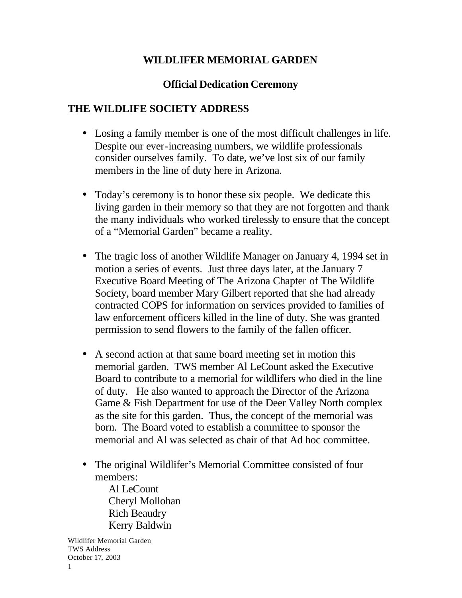## **WILDLIFER MEMORIAL GARDEN**

## **Official Dedication Ceremony**

## **THE WILDLIFE SOCIETY ADDRESS**

- Losing a family member is one of the most difficult challenges in life. Despite our ever-increasing numbers, we wildlife professionals consider ourselves family. To date, we've lost six of our family members in the line of duty here in Arizona.
- Today's ceremony is to honor these six people. We dedicate this living garden in their memory so that they are not forgotten and thank the many individuals who worked tirelessly to ensure that the concept of a "Memorial Garden" became a reality.
- The tragic loss of another Wildlife Manager on January 4, 1994 set in motion a series of events. Just three days later, at the January 7 Executive Board Meeting of The Arizona Chapter of The Wildlife Society, board member Mary Gilbert reported that she had already contracted COPS for information on services provided to families of law enforcement officers killed in the line of duty. She was granted permission to send flowers to the family of the fallen officer.
- A second action at that same board meeting set in motion this memorial garden. TWS member Al LeCount asked the Executive Board to contribute to a memorial for wildlifers who died in the line of duty. He also wanted to approach the Director of the Arizona Game & Fish Department for use of the Deer Valley North complex as the site for this garden. Thus, the concept of the memorial was born. The Board voted to establish a committee to sponsor the memorial and Al was selected as chair of that Ad hoc committee.
- The original Wildlifer's Memorial Committee consisted of four members:

Al LeCount Cheryl Mollohan Rich Beaudry Kerry Baldwin

Wildlifer Memorial Garden TWS Address October 17, 2003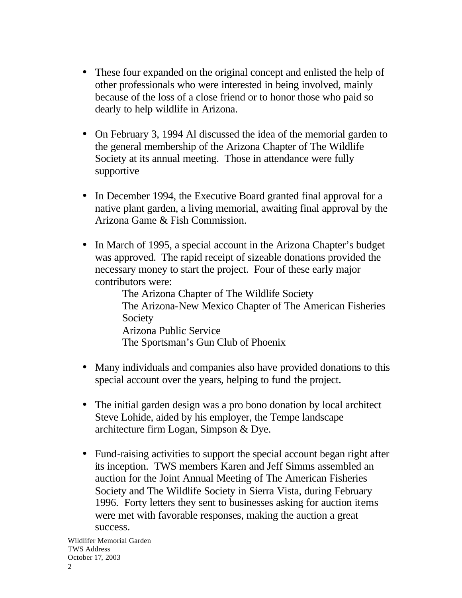- These four expanded on the original concept and enlisted the help of other professionals who were interested in being involved, mainly because of the loss of a close friend or to honor those who paid so dearly to help wildlife in Arizona.
- On February 3, 1994 Al discussed the idea of the memorial garden to the general membership of the Arizona Chapter of The Wildlife Society at its annual meeting. Those in attendance were fully supportive
- In December 1994, the Executive Board granted final approval for a native plant garden, a living memorial, awaiting final approval by the Arizona Game & Fish Commission.
- In March of 1995, a special account in the Arizona Chapter's budget was approved. The rapid receipt of sizeable donations provided the necessary money to start the project. Four of these early major contributors were:

The Arizona Chapter of The Wildlife Society The Arizona-New Mexico Chapter of The American Fisheries Society Arizona Public Service The Sportsman's Gun Club of Phoenix

- Many individuals and companies also have provided donations to this special account over the years, helping to fund the project.
- The initial garden design was a pro bono donation by local architect Steve Lohide, aided by his employer, the Tempe landscape architecture firm Logan, Simpson & Dye.
- Fund-raising activities to support the special account began right after its inception. TWS members Karen and Jeff Simms assembled an auction for the Joint Annual Meeting of The American Fisheries Society and The Wildlife Society in Sierra Vista, during February 1996. Forty letters they sent to businesses asking for auction items were met with favorable responses, making the auction a great success.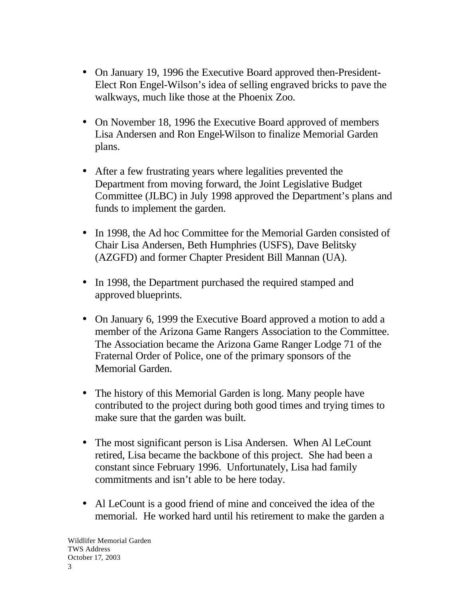- On January 19, 1996 the Executive Board approved then-President-Elect Ron Engel-Wilson's idea of selling engraved bricks to pave the walkways, much like those at the Phoenix Zoo.
- On November 18, 1996 the Executive Board approved of members Lisa Andersen and Ron Engel-Wilson to finalize Memorial Garden plans.
- After a few frustrating years where legalities prevented the Department from moving forward, the Joint Legislative Budget Committee (JLBC) in July 1998 approved the Department's plans and funds to implement the garden.
- In 1998, the Ad hoc Committee for the Memorial Garden consisted of Chair Lisa Andersen, Beth Humphries (USFS), Dave Belitsky (AZGFD) and former Chapter President Bill Mannan (UA).
- In 1998, the Department purchased the required stamped and approved blueprints.
- On January 6, 1999 the Executive Board approved a motion to add a member of the Arizona Game Rangers Association to the Committee. The Association became the Arizona Game Ranger Lodge 71 of the Fraternal Order of Police, one of the primary sponsors of the Memorial Garden.
- The history of this Memorial Garden is long. Many people have contributed to the project during both good times and trying times to make sure that the garden was built.
- The most significant person is Lisa Andersen. When Al LeCount retired, Lisa became the backbone of this project. She had been a constant since February 1996. Unfortunately, Lisa had family commitments and isn't able to be here today.
- Al LeCount is a good friend of mine and conceived the idea of the memorial. He worked hard until his retirement to make the garden a